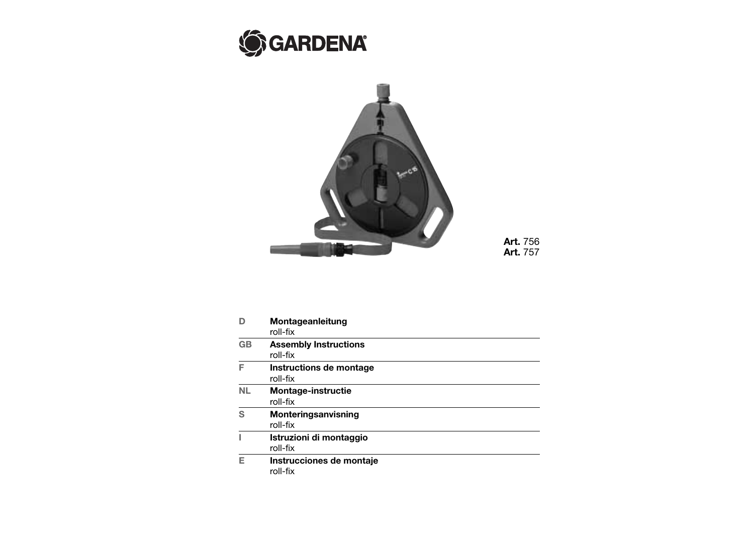



**Art.** 756 **Art.** 757

|           | Montageanleitung<br>roll-fix             |
|-----------|------------------------------------------|
| <b>GB</b> | <b>Assembly Instructions</b><br>roll-fix |
| F         | Instructions de montage<br>roll-fix      |
| NL        | <b>Montage-instructie</b><br>roll-fix    |
| ς         | Monteringsanvisning<br>roll-fix          |
|           | Istruzioni di montaggio<br>roll-fix      |
| F         | Instrucciones de montaje<br>roll-fix     |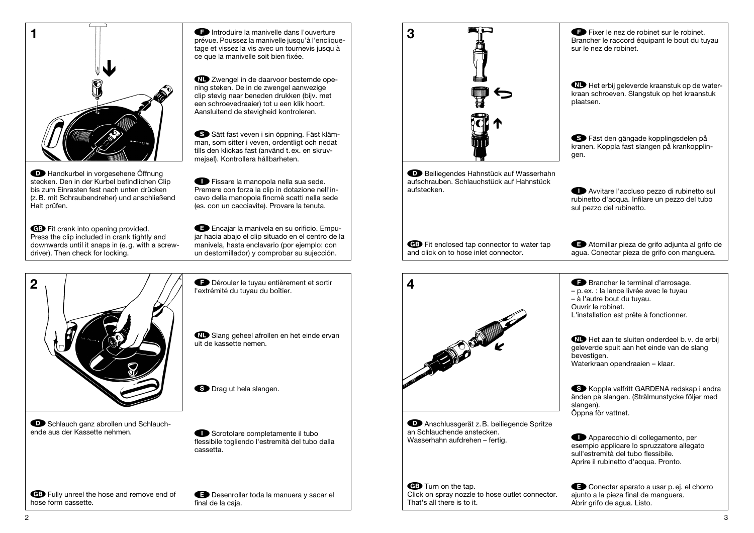

**D** Handkurbel in vorgesehene Öffnung stecken. Den in der Kurbel befindlichen Clip bis zum Einrasten fest nach unten drücken (z. B. mit Schraubendreher) und anschließend Halt prüfen.

GB Fit crank into opening provided. Press the clip included in crank tightly and downwards until it snaps in (e. g. with a screwdriver). Then check for locking.

FIntroduire la manivelle dans l'ouverture prévue. Poussez la manivelle jusqu'à l'encliquetage et vissez la vis avec un tournevis jusqu'à ce que la manivelle soit bien fixée.

VZwengel in de daarvoor bestemde opening steken. De in de zwengel aanwezige clip stevig naar beneden drukken (bijv. met een schroevedraaier) tot u een klik hoort. Aansluitend de stevigheid kontroleren.

SSätt fast veven i sin öppning. Fäst klämman, som sitter i veven, ordentligt och nedat tills den klickas fast (använd t. ex. en skruvmejsel). Kontrollera hållbarheten.

IFissare la manopola nella sua sede. Premere con forza la clip in dotazione nell'incavo della manopola fincmè scatti nella sede (es. con un cacciavite). Provare la tenuta.

EEncajar la manivela en su orificio. Empujar hacia abajo el clip situado en el centro de la manivela, hasta enclavario (por ejemplo: con un destornillador) y comprobar su sujección.



**WD** Slang geheel afrollen en het einde ervan

FDérouler le tuyau entièrement et sortir

l'extrémité du tuyau du boîtier.

uit de kassette nemen.

**S** Drag ut hela slangen.

**D** Schlauch ganz abrollen und Schlauchende aus der Kassette nehmen.

**In Scrotolare completamente il tubo** flessibile togliendo l'estremità del tubo dalla cassetta.

GB Fully unreel the hose and remove end of hose form cassette.

EDesenrollar toda la manuera y sacar el final de la caja.

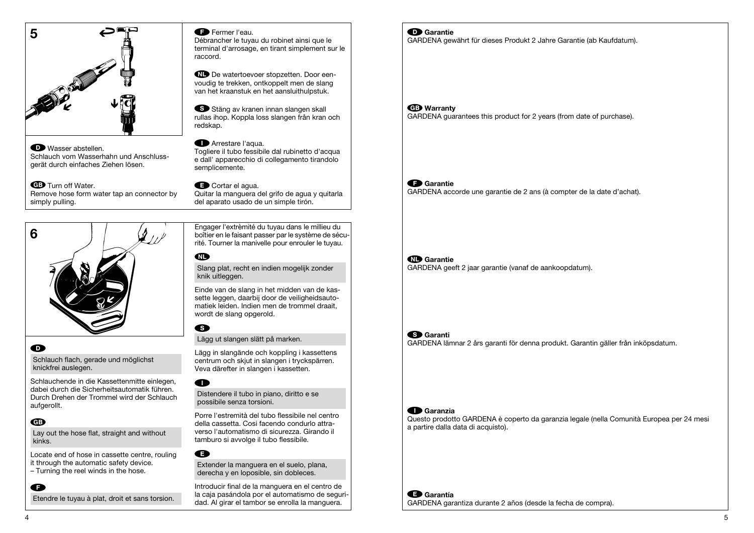

#### D<sup>Wasser</sup> abstellen. Schlauch vom Wasserhahn und Anschlussgerät durch einfaches Ziehen lösen.

GB Turn off Water. Remove hose form water tap an connector by simply pulling.

#### **Example Fermer l'eau.**

Débrancher le tuyau du robinet ainsi que le terminal d'arrosage, en tirant simplement sur le raccord.

VDe watertoevoer stopzetten. Door eenvoudig te trekken, ontkoppelt men de slang van het kraanstuk en het aansluithulpstuk.

SS Stäng av kranen innan slangen skall rullas ihop. Koppla loss slangen från kran och redskap.

### **I**Arrestare l'aqua.

Togliere il tubo fessibile dal rubinetto d'acqua e dall' apparecchio di collegamento tirandolo semplicemente.

### Cortar el agua.

Quitar la manguera del grifo de agua y quitarla del aparato usado de un simple tirón.

Engager l'extrèmité du tuyau dans le millieu du boîtier en le faisant passer par le système de sécurité. Tourner la manivelle pour enrouler le tuyau.



## $\mathbf \Omega$

Schlauch flach, gerade und möglichst knickfrei auslegen.

Schlauchende in die Kassettenmitte einlegen, dabei durch die Sicherheitsautomatik führen. Durch Drehen der Trommel wird der Schlauch aufgerollt.

## G

 $\bullet$ 

Lay out the hose flat, straight and without kinks.

Locate end of hose in cassette centre, rouling it through the automatic safety device. – Turning the reel winds in the hose.

Etendre le tuyau à plat, droit et sans torsion.

# **MD**

Slang plat, recht en indien mogelijk zonder knik uitleggen.

Einde van de slang in het midden van de kassette leggen, daarbij door de veiligheidsautomatiek leiden. Indien men de trommel draait, wordt de slang opgerold.

# S

Lägg ut slangen slätt på marken.

Lägg in slangände och koppling i kassettens centrum och skjut in slangen i tryckspärren. Veva därefter in slangen i kassetten.

## $\blacksquare$

Distendere il tubo in piano, diritto e se possibile senza torsioni.

Porre l'estremità del tubo flessibile nel centro della cassetta. Cosi facendo condurlo attraverso l'automatismo di sicurezza. Girando il tamburo si avvolge il tubo flessibile.

# E

Extender la manguera en el suelo, plana, derecha y en loposible, sin dobleces.

Introducir final de la manguera en el centro de la caja pasándola por el automatismo de seguridad. Al girar el tambor se enrolla la manguera.

### D**Garantie**

GARDENA gewährt für dieses Produkt 2 Jahre Garantie (ab Kaufdatum).

## G**Warranty**

GARDENA guarantees this product for 2 years (from date of purchase).

## F**Garantie**

GARDENA accorde une garantie de 2 ans (à compter de la date d'achat).

## V**Garantie**

GARDENA geeft 2 jaar garantie (vanaf de aankoopdatum).

### S**Garanti**

GARDENA lämnar 2 års garanti för denna produkt. Garantin gäller från inköpsdatum.

### I**Garanzia**

Questo prodotto GARDENA è coperto da garanzia legale (nella Comunità Europea per 24 mesi a partire dalla data di acquisto).

E**Garantía** GARDENA garantiza durante 2 años (desde la fecha de compra).